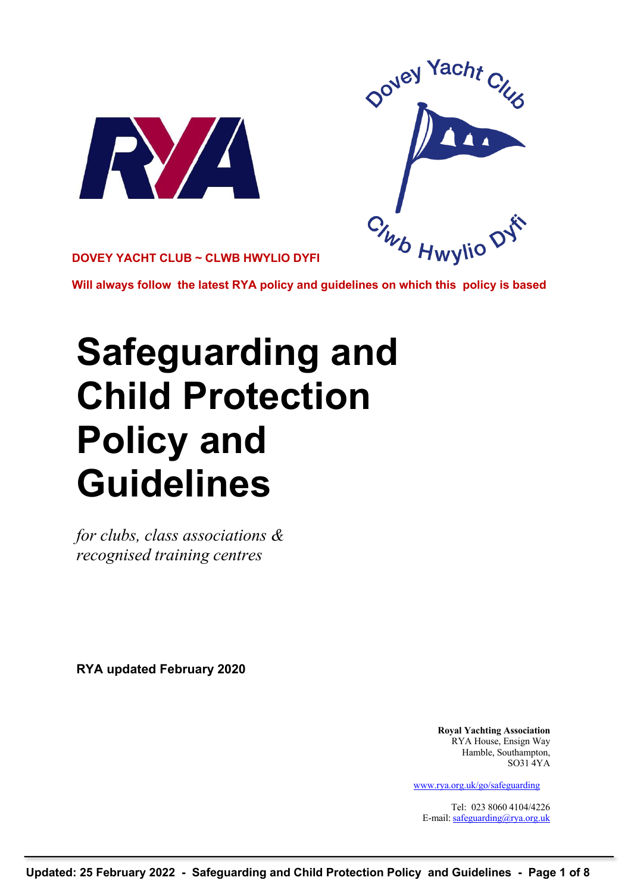



**DOVEY YACHT CLUB ~ CLWB HWYLIO DYFI**

**Will always follow the latest RYA policy and guidelines on which this policy is based**

# **Safeguarding and Child Protection Policy and Guidelines**

*for clubs, class associations & recognised training centres*

**RYA updated February 2020**

**Royal Yachting Association** RYA House, Ensign Way Hamble, Southampton,  $SO<sub>31</sub>4YA$ 

www.rya.org.uk/go/safeguarding

Tel: 023 8060 4104/4226 E-mail: safeguarding@rya.org.uk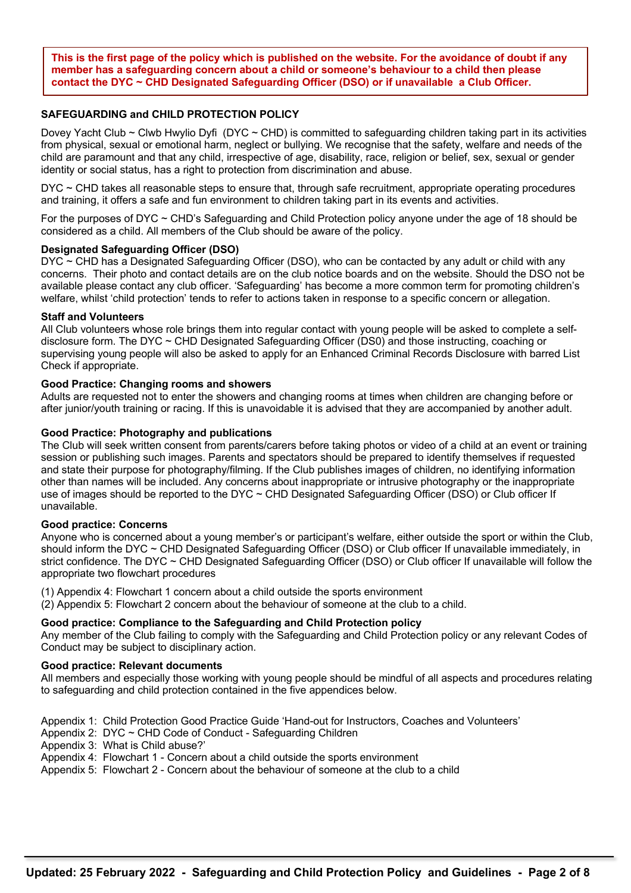**This is the first page of the policy which is published on the website. For the avoidance of doubt if any member has a safeguarding concern about a child or someone's behaviour to a child then please contact the DYC ~ CHD Designated Safeguarding Officer (DSO) or if unavailable a Club Officer.** 

# **SAFEGUARDING and CHILD PROTECTION POLICY**

Dovey Yacht Club ~ Clwb Hwylio Dyfi (DYC ~ CHD) is committed to safeguarding children taking part in its activities from physical, sexual or emotional harm, neglect or bullying. We recognise that the safety, welfare and needs of the child are paramount and that any child, irrespective of age, disability, race, religion or belief, sex, sexual or gender identity or social status, has a right to protection from discrimination and abuse.

DYC ~ CHD takes all reasonable steps to ensure that, through safe recruitment, appropriate operating procedures and training, it offers a safe and fun environment to children taking part in its events and activities.

For the purposes of DYC ~ CHD's Safeguarding and Child Protection policy anyone under the age of 18 should be considered as a child. All members of the Club should be aware of the policy.

# **Designated Safeguarding Officer (DSO)**

DYC ~ CHD has a Designated Safeguarding Officer (DSO), who can be contacted by any adult or child with any concerns. Their photo and contact details are on the club notice boards and on the website. Should the DSO not be available please contact any club officer. 'Safeguarding' has become a more common term for promoting children's welfare, whilst 'child protection' tends to refer to actions taken in response to a specific concern or allegation.

#### **Staff and Volunteers**

All Club volunteers whose role brings them into regular contact with young people will be asked to complete a selfdisclosure form. The DYC ~ CHD Designated Safeguarding Officer (DS0) and those instructing, coaching or supervising young people will also be asked to apply for an Enhanced Criminal Records Disclosure with barred List Check if appropriate.

#### **Good Practice: Changing rooms and showers**

Adults are requested not to enter the showers and changing rooms at times when children are changing before or after junior/youth training or racing. If this is unavoidable it is advised that they are accompanied by another adult.

#### **Good Practice: Photography and publications**

The Club will seek written consent from parents/carers before taking photos or video of a child at an event or training session or publishing such images. Parents and spectators should be prepared to identify themselves if requested and state their purpose for photography/filming. If the Club publishes images of children, no identifying information other than names will be included. Any concerns about inappropriate or intrusive photography or the inappropriate use of images should be reported to the DYC ~ CHD Designated Safeguarding Officer (DSO) or Club officer If unavailable.

#### **Good practice: Concerns**

Anyone who is concerned about a young member's or participant's welfare, either outside the sport or within the Club, should inform the DYC ~ CHD Designated Safeguarding Officer (DSO) or Club officer If unavailable immediately, in strict confidence. The DYC ~ CHD Designated Safeguarding Officer (DSO) or Club officer If unavailable will follow the appropriate two flowchart procedures

(1) Appendix 4: Flowchart 1 concern about a child outside the sports environment (2) Appendix 5: Flowchart 2 concern about the behaviour of someone at the club to a child.

# **Good practice: Compliance to the Safeguarding and Child Protection policy**

Any member of the Club failing to comply with the Safeguarding and Child Protection policy or any relevant Codes of Conduct may be subject to disciplinary action.

#### **Good practice: Relevant documents**

All members and especially those working with young people should be mindful of all aspects and procedures relating to safeguarding and child protection contained in the five appendices below.

Appendix 1: Child Protection Good Practice Guide 'Hand-out for Instructors, Coaches and Volunteers'

Appendix 2: DYC ~ CHD Code of Conduct - Safeguarding Children

Appendix 3: What is Child abuse?'

Appendix 4: Flowchart 1 - Concern about a child outside the sports environment

Appendix 5: Flowchart 2 - Concern about the behaviour of someone at the club to a child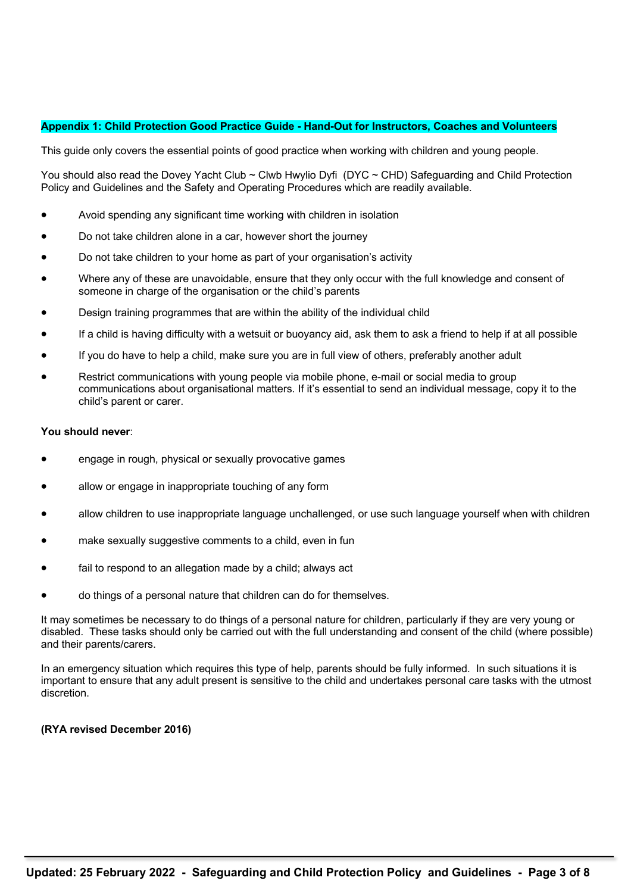#### **Appendix 1: Child Protection Good Practice Guide - Hand-Out for Instructors, Coaches and Volunteers**

This guide only covers the essential points of good practice when working with children and young people.

You should also read the Dovey Yacht Club ~ Clwb Hwylio Dyfi (DYC ~ CHD) Safeguarding and Child Protection Policy and Guidelines and the Safety and Operating Procedures which are readily available.

- Avoid spending any significant time working with children in isolation
- Do not take children alone in a car, however short the journey
- Do not take children to your home as part of your organisation's activity
- Where any of these are unavoidable, ensure that they only occur with the full knowledge and consent of someone in charge of the organisation or the child's parents
- Design training programmes that are within the ability of the individual child
- If a child is having difficulty with a wetsuit or buoyancy aid, ask them to ask a friend to help if at all possible
- If you do have to help a child, make sure you are in full view of others, preferably another adult
- Restrict communications with young people via mobile phone, e-mail or social media to group communications about organisational matters. If it's essential to send an individual message, copy it to the child's parent or carer.

#### **You should never**:

- engage in rough, physical or sexually provocative games
- allow or engage in inappropriate touching of any form
- allow children to use inappropriate language unchallenged, or use such language yourself when with children
- make sexually suggestive comments to a child, even in fun
- fail to respond to an allegation made by a child; always act
- do things of a personal nature that children can do for themselves.

It may sometimes be necessary to do things of a personal nature for children, particularly if they are very young or disabled. These tasks should only be carried out with the full understanding and consent of the child (where possible) and their parents/carers.

In an emergency situation which requires this type of help, parents should be fully informed. In such situations it is important to ensure that any adult present is sensitive to the child and undertakes personal care tasks with the utmost discretion.

#### **(RYA revised December 2016)**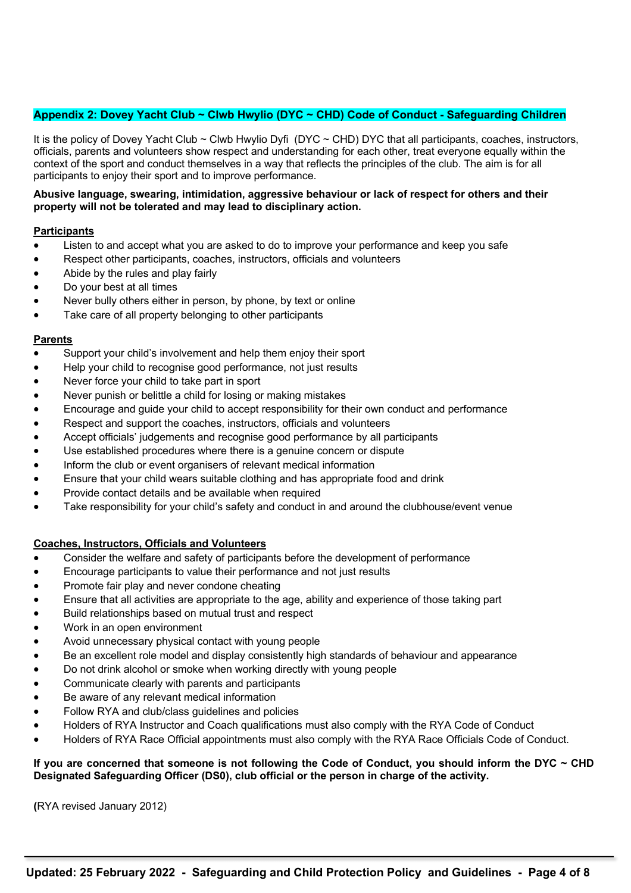# **Appendix 2: Dovey Yacht Club ~ Clwb Hwylio (DYC ~ CHD) Code of Conduct - Safeguarding Children**

It is the policy of Dovey Yacht Club ~ Clwb Hwylio Dyfi (DYC ~ CHD) DYC that all participants, coaches, instructors, officials, parents and volunteers show respect and understanding for each other, treat everyone equally within the context of the sport and conduct themselves in a way that reflects the principles of the club. The aim is for all participants to enjoy their sport and to improve performance.

# **Abusive language, swearing, intimidation, aggressive behaviour or lack of respect for others and their property will not be tolerated and may lead to disciplinary action.**

# **Participants**

- Listen to and accept what you are asked to do to improve your performance and keep you safe
- Respect other participants, coaches, instructors, officials and volunteers
- Abide by the rules and play fairly
- Do your best at all times
- Never bully others either in person, by phone, by text or online
- Take care of all property belonging to other participants

# **Parents**

- Support your child's involvement and help them enjoy their sport
- Help your child to recognise good performance, not just results
- Never force your child to take part in sport
- Never punish or belittle a child for losing or making mistakes
- Encourage and guide your child to accept responsibility for their own conduct and performance
- Respect and support the coaches, instructors, officials and volunteers
- Accept officials' judgements and recognise good performance by all participants
- Use established procedures where there is a genuine concern or dispute
- Inform the club or event organisers of relevant medical information
- Ensure that your child wears suitable clothing and has appropriate food and drink
- Provide contact details and be available when required
- Take responsibility for your child's safety and conduct in and around the clubhouse/event venue

# **Coaches, Instructors, Officials and Volunteers**

- Consider the welfare and safety of participants before the development of performance
- Encourage participants to value their performance and not just results
- Promote fair play and never condone cheating
- Ensure that all activities are appropriate to the age, ability and experience of those taking part
- Build relationships based on mutual trust and respect
- Work in an open environment
- Avoid unnecessary physical contact with young people
- Be an excellent role model and display consistently high standards of behaviour and appearance
- Do not drink alcohol or smoke when working directly with young people
- Communicate clearly with parents and participants
- Be aware of any relevant medical information
- Follow RYA and club/class guidelines and policies
- Holders of RYA Instructor and Coach qualifications must also comply with the RYA Code of Conduct
- Holders of RYA Race Official appointments must also comply with the RYA Race Officials Code of Conduct.

# **If you are concerned that someone is not following the Code of Conduct, you should inform the DYC ~ CHD Designated Safeguarding Officer (DS0), club official or the person in charge of the activity.**

**(**RYA revised January 2012)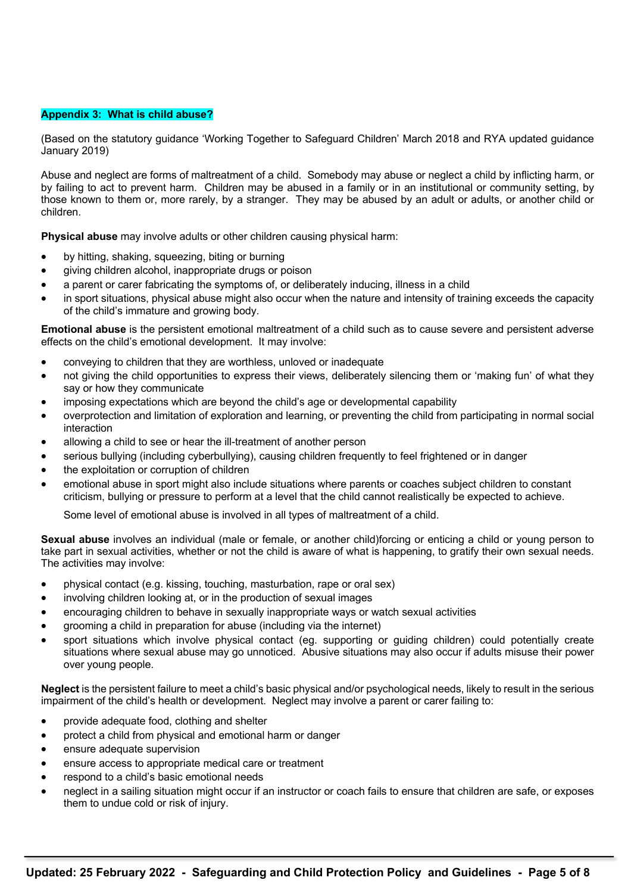# **Appendix 3: What is child abuse?**

(Based on the statutory guidance 'Working Together to Safeguard Children' March 2018 and RYA updated guidance January 2019)

Abuse and neglect are forms of maltreatment of a child. Somebody may abuse or neglect a child by inflicting harm, or by failing to act to prevent harm. Children may be abused in a family or in an institutional or community setting, by those known to them or, more rarely, by a stranger. They may be abused by an adult or adults, or another child or children.

**Physical abuse** may involve adults or other children causing physical harm:

- by hitting, shaking, squeezing, biting or burning
- giving children alcohol, inappropriate drugs or poison
- a parent or carer fabricating the symptoms of, or deliberately inducing, illness in a child
- in sport situations, physical abuse might also occur when the nature and intensity of training exceeds the capacity of the child's immature and growing body.

**Emotional abuse** is the persistent emotional maltreatment of a child such as to cause severe and persistent adverse effects on the child's emotional development. It may involve:

- conveying to children that they are worthless, unloved or inadequate
- not giving the child opportunities to express their views, deliberately silencing them or 'making fun' of what they say or how they communicate
- imposing expectations which are beyond the child's age or developmental capability
- overprotection and limitation of exploration and learning, or preventing the child from participating in normal social interaction
- allowing a child to see or hear the ill-treatment of another person
- serious bullying (including cyberbullying), causing children frequently to feel frightened or in danger
- the exploitation or corruption of children
- emotional abuse in sport might also include situations where parents or coaches subject children to constant criticism, bullying or pressure to perform at a level that the child cannot realistically be expected to achieve.

Some level of emotional abuse is involved in all types of maltreatment of a child.

**Sexual abuse** involves an individual (male or female, or another child)forcing or enticing a child or young person to take part in sexual activities, whether or not the child is aware of what is happening, to gratify their own sexual needs. The activities may involve:

- physical contact (e.g. kissing, touching, masturbation, rape or oral sex)
- involving children looking at, or in the production of sexual images
- encouraging children to behave in sexually inappropriate ways or watch sexual activities
- grooming a child in preparation for abuse (including via the internet)
- sport situations which involve physical contact (eg. supporting or guiding children) could potentially create situations where sexual abuse may go unnoticed. Abusive situations may also occur if adults misuse their power over young people.

**Neglect** is the persistent failure to meet a child's basic physical and/or psychological needs, likely to result in the serious impairment of the child's health or development. Neglect may involve a parent or carer failing to:

- provide adequate food, clothing and shelter
- protect a child from physical and emotional harm or danger
- ensure adequate supervision
- ensure access to appropriate medical care or treatment
- respond to a child's basic emotional needs
- neglect in a sailing situation might occur if an instructor or coach fails to ensure that children are safe, or exposes them to undue cold or risk of injury.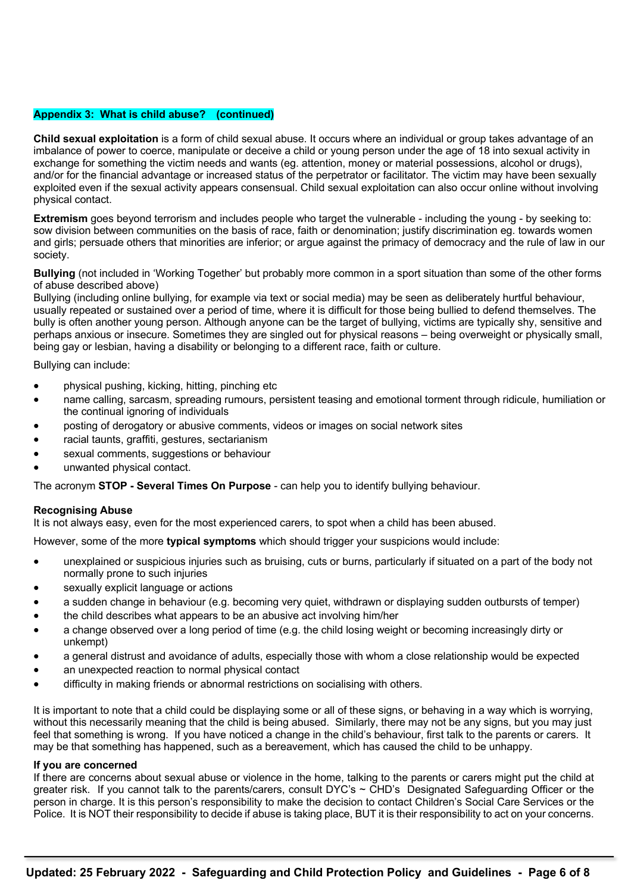#### **Appendix 3: What is child abuse? (continued)**

**Child sexual exploitation** is a form of child sexual abuse. It occurs where an individual or group takes advantage of an imbalance of power to coerce, manipulate or deceive a child or young person under the age of 18 into sexual activity in exchange for something the victim needs and wants (eg. attention, money or material possessions, alcohol or drugs), and/or for the financial advantage or increased status of the perpetrator or facilitator. The victim may have been sexually exploited even if the sexual activity appears consensual. Child sexual exploitation can also occur online without involving physical contact.

**Extremism** goes beyond terrorism and includes people who target the vulnerable - including the young - by seeking to: sow division between communities on the basis of race, faith or denomination; justify discrimination eg. towards women and girls; persuade others that minorities are inferior; or argue against the primacy of democracy and the rule of law in our society.

**Bullying** (not included in 'Working Together' but probably more common in a sport situation than some of the other forms of abuse described above)

Bullying (including online bullying, for example via text or social media) may be seen as deliberately hurtful behaviour, usually repeated or sustained over a period of time, where it is difficult for those being bullied to defend themselves. The bully is often another young person. Although anyone can be the target of bullying, victims are typically shy, sensitive and perhaps anxious or insecure. Sometimes they are singled out for physical reasons – being overweight or physically small, being gay or lesbian, having a disability or belonging to a different race, faith or culture.

Bullying can include:

- physical pushing, kicking, hitting, pinching etc
- name calling, sarcasm, spreading rumours, persistent teasing and emotional torment through ridicule, humiliation or the continual ignoring of individuals
- posting of derogatory or abusive comments, videos or images on social network sites
- racial taunts, graffiti, gestures, sectarianism
- sexual comments, suggestions or behaviour
- unwanted physical contact.

The acronym **STOP - Several Times On Purpose** - can help you to identify bullying behaviour.

#### **Recognising Abuse**

It is not always easy, even for the most experienced carers, to spot when a child has been abused.

However, some of the more **typical symptoms** which should trigger your suspicions would include:

- unexplained or suspicious injuries such as bruising, cuts or burns, particularly if situated on a part of the body not normally prone to such injuries
- sexually explicit language or actions
- a sudden change in behaviour (e.g. becoming very quiet, withdrawn or displaying sudden outbursts of temper)
- the child describes what appears to be an abusive act involving him/her
- a change observed over a long period of time (e.g. the child losing weight or becoming increasingly dirty or unkempt)
- a general distrust and avoidance of adults, especially those with whom a close relationship would be expected
- an unexpected reaction to normal physical contact
- difficulty in making friends or abnormal restrictions on socialising with others.

It is important to note that a child could be displaying some or all of these signs, or behaving in a way which is worrying, without this necessarily meaning that the child is being abused. Similarly, there may not be any signs, but you may just feel that something is wrong. If you have noticed a change in the child's behaviour, first talk to the parents or carers. It may be that something has happened, such as a bereavement, which has caused the child to be unhappy.

#### **If you are concerned**

If there are concerns about sexual abuse or violence in the home, talking to the parents or carers might put the child at greater risk. If you cannot talk to the parents/carers, consult DYC's ~ CHD's Designated Safeguarding Officer or the person in charge. It is this person's responsibility to make the decision to contact Children's Social Care Services or the Police. It is NOT their responsibility to decide if abuse is taking place, BUT it is their responsibility to act on your concerns.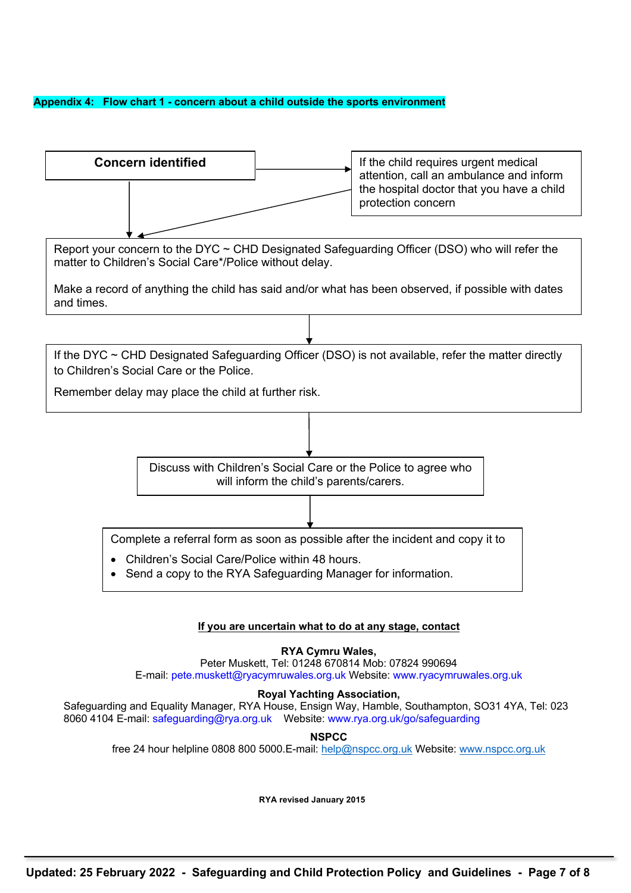# **Appendix 4: Flow chart 1 - concern about a child outside the sports environment**



# **Royal Yachting Association,**

Safeguarding and Equality Manager, RYA House, Ensign Way, Hamble, Southampton, SO31 4YA, Tel: 023 8060 4104 E-mail: safeguarding@rya.org.uk Website: www.rya.org.uk/go/safeguarding

**NSPCC**

free 24 hour helpline 0808 800 5000.E-mail: help@nspcc.org.uk Website: www.nspcc.org.uk

**RYA revised January 2015**